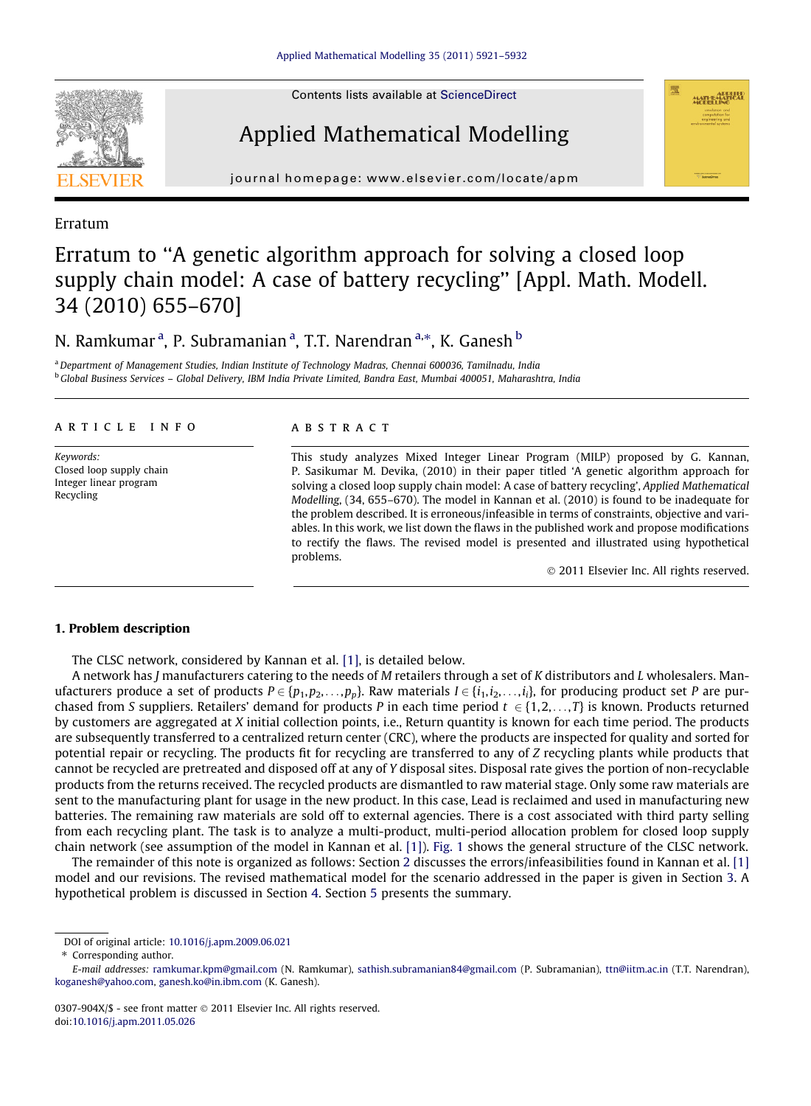

Contents lists available at [ScienceDirect](http://www.sciencedirect.com/science/journal/0307904X)

# Applied Mathematical Modelling



journal homepage: [www.elsevier.com/locate/apm](http://www.elsevier.com/locate/apm)

## Erratum

## Erratum to ''A genetic algorithm approach for solving a closed loop supply chain model: A case of battery recycling'' [Appl. Math. Modell. 34 (2010) 655–670]

## N. Ramkumar <sup>a</sup>, P. Subramanian <sup>a</sup>, T.T. Narendran <sup>a,</sup>\*, K. Ganesh <sup>b</sup>

a Department of Management Studies, Indian Institute of Technology Madras, Chennai 600036, Tamilnadu, India <sup>b</sup> Global Business Services - Global Delivery, IBM India Private Limited, Bandra East, Mumbai 400051, Maharashtra, India

## article info

Keywords: Closed loop supply chain Integer linear program Recycling

#### ABSTRACT

This study analyzes Mixed Integer Linear Program (MILP) proposed by G. Kannan, P. Sasikumar M. Devika, (2010) in their paper titled 'A genetic algorithm approach for solving a closed loop supply chain model: A case of battery recycling', Applied Mathematical Modelling, (34, 655–670). The model in Kannan et al. (2010) is found to be inadequate for the problem described. It is erroneous/infeasible in terms of constraints, objective and variables. In this work, we list down the flaws in the published work and propose modifications to rectify the flaws. The revised model is presented and illustrated using hypothetical problems.

- 2011 Elsevier Inc. All rights reserved.

#### 1. Problem description

The CLSC network, considered by Kannan et al. [\[1\],](#page-11-0) is detailed below.

A network has J manufacturers catering to the needs of M retailers through a set of K distributors and L wholesalers. Manufacturers produce a set of products  $P \in \{p_1, p_2, \ldots, p_p\}$ . Raw materials  $I \in \{i_1, i_2, \ldots, i_i\}$ , for producing product set P are purchased from S suppliers. Retailers' demand for products P in each time period  $t \in \{1,2,\ldots,T\}$  is known. Products returned by customers are aggregated at X initial collection points, i.e., Return quantity is known for each time period. The products are subsequently transferred to a centralized return center (CRC), where the products are inspected for quality and sorted for potential repair or recycling. The products fit for recycling are transferred to any of Z recycling plants while products that cannot be recycled are pretreated and disposed off at any of Y disposal sites. Disposal rate gives the portion of non-recyclable products from the returns received. The recycled products are dismantled to raw material stage. Only some raw materials are sent to the manufacturing plant for usage in the new product. In this case, Lead is reclaimed and used in manufacturing new batteries. The remaining raw materials are sold off to external agencies. There is a cost associated with third party selling from each recycling plant. The task is to analyze a multi-product, multi-period allocation problem for closed loop supply chain network (see assumption of the model in Kannan et al. [\[1\]](#page-11-0)). [Fig. 1](#page-1-0) shows the general structure of the CLSC network.

The remainder of this note is organized as follows: Section 2 discusses the errors/infeasibilities found in Kannan et al. [\[1\]](#page-11-0) model and our revisions. The revised mathematical model for the scenario addressed in the paper is given in Section 3. A hypothetical problem is discussed in Section 4. Section 5 presents the summary.

DOI of original article: [10.1016/j.apm.2009.06.021](http://dx.doi.org/10.1016/j.apm.2009.06.021)

<sup>⇑</sup> Corresponding author.

E-mail addresses: [ramkumar.kpm@gmail.com](mailto:ramkumar.kpm@gmail.com) (N. Ramkumar), [sathish.subramanian84@gmail.com](mailto:sathish.subramanian84@gmail.com) (P. Subramanian), [ttn@iitm.ac.in](mailto:ttn@iitm.ac.in) (T.T. Narendran), [koganesh@yahoo.com](mailto:koganesh@yahoo.com), [ganesh.ko@in.ibm.com](mailto:ganesh.ko@in.ibm.com) (K. Ganesh).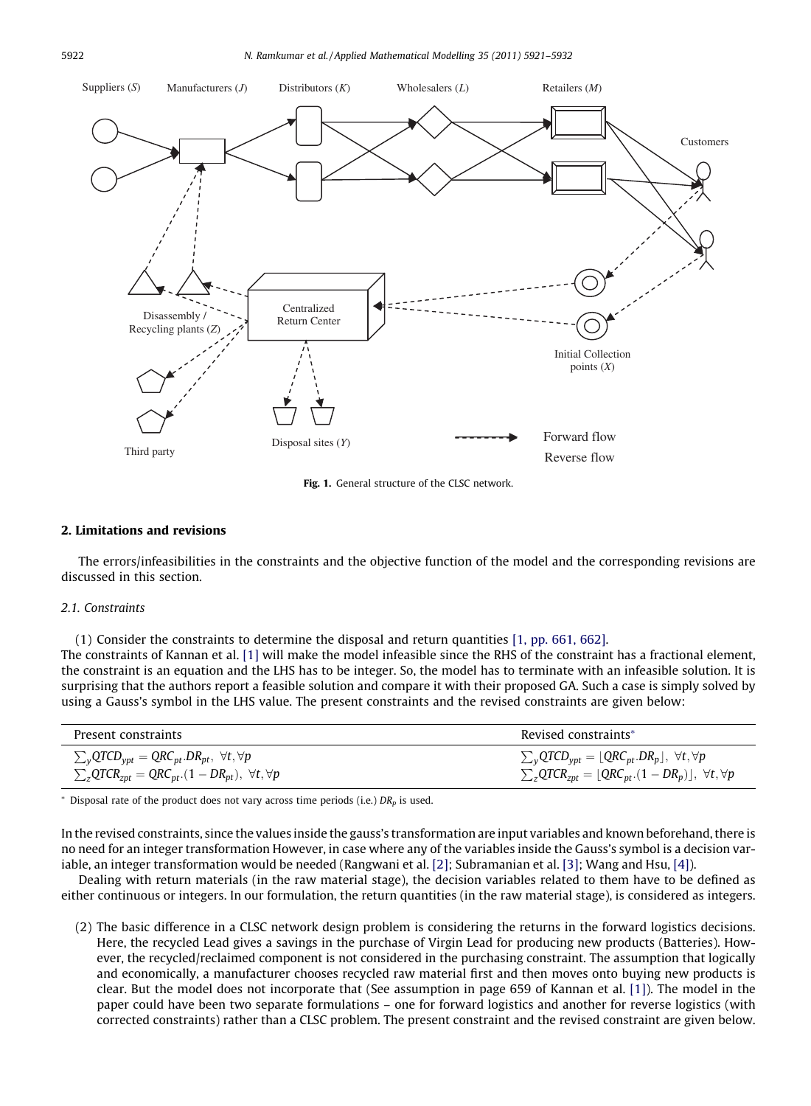<span id="page-1-0"></span>

Fig. 1. General structure of the CLSC network.

#### 2. Limitations and revisions

The errors/infeasibilities in the constraints and the objective function of the model and the corresponding revisions are discussed in this section.

#### 2.1. Constraints

(1) Consider the constraints to determine the disposal and return quantities [\[1, pp. 661, 662\].](#page-11-0)

The constraints of Kannan et al. [\[1\]](#page-11-0) will make the model infeasible since the RHS of the constraint has a fractional element, the constraint is an equation and the LHS has to be integer. So, the model has to terminate with an infeasible solution. It is surprising that the authors report a feasible solution and compare it with their proposed GA. Such a case is simply solved by using a Gauss's symbol in the LHS value. The present constraints and the revised constraints are given below:

| Present constraints                                                                           | Revised constraints*                                                                                                               |
|-----------------------------------------------------------------------------------------------|------------------------------------------------------------------------------------------------------------------------------------|
| $\sum_{v}$ QTCD <sub>ypt</sub> = QRC <sub>pt</sub> .DR <sub>pt</sub> , $\forall t, \forall p$ | $\sum_{\mathbf{v}} \mathrm{QTCD}_{\mathbf{ypt}} = \lfloor \mathrm{QRC}_{pt}.\mathrm{DR}_p \rfloor, \,\, \forall t, \forall p \mid$ |
| $\sum_{z}QTCR_{zpt} = QRC_{pt}.(1 - DR_{pt}), \ \forall t, \forall p$                         | $\sum_{z}QTCR_{zpt} = [QRC_{pt}.(1 - DR_p)], \forall t, \forall p$                                                                 |

 $*$  Disposal rate of the product does not vary across time periods (i.e.)  $DR<sub>n</sub>$  is used.

In the revised constraints, since the values inside the gauss's transformation are input variables and known beforehand, there is no need for an integer transformation However, in case where any of the variables inside the Gauss's symbol is a decision variable, an integer transformation would be needed (Rangwani et al. [\[2\]](#page-11-0); Subramanian et al. [\[3\];](#page-11-0) Wang and Hsu, [\[4\]\)](#page-11-0).

Dealing with return materials (in the raw material stage), the decision variables related to them have to be defined as either continuous or integers. In our formulation, the return quantities (in the raw material stage), is considered as integers.

(2) The basic difference in a CLSC network design problem is considering the returns in the forward logistics decisions. Here, the recycled Lead gives a savings in the purchase of Virgin Lead for producing new products (Batteries). However, the recycled/reclaimed component is not considered in the purchasing constraint. The assumption that logically and economically, a manufacturer chooses recycled raw material first and then moves onto buying new products is clear. But the model does not incorporate that (See assumption in page 659 of Kannan et al. [\[1\]\)](#page-11-0). The model in the paper could have been two separate formulations – one for forward logistics and another for reverse logistics (with corrected constraints) rather than a CLSC problem. The present constraint and the revised constraint are given below.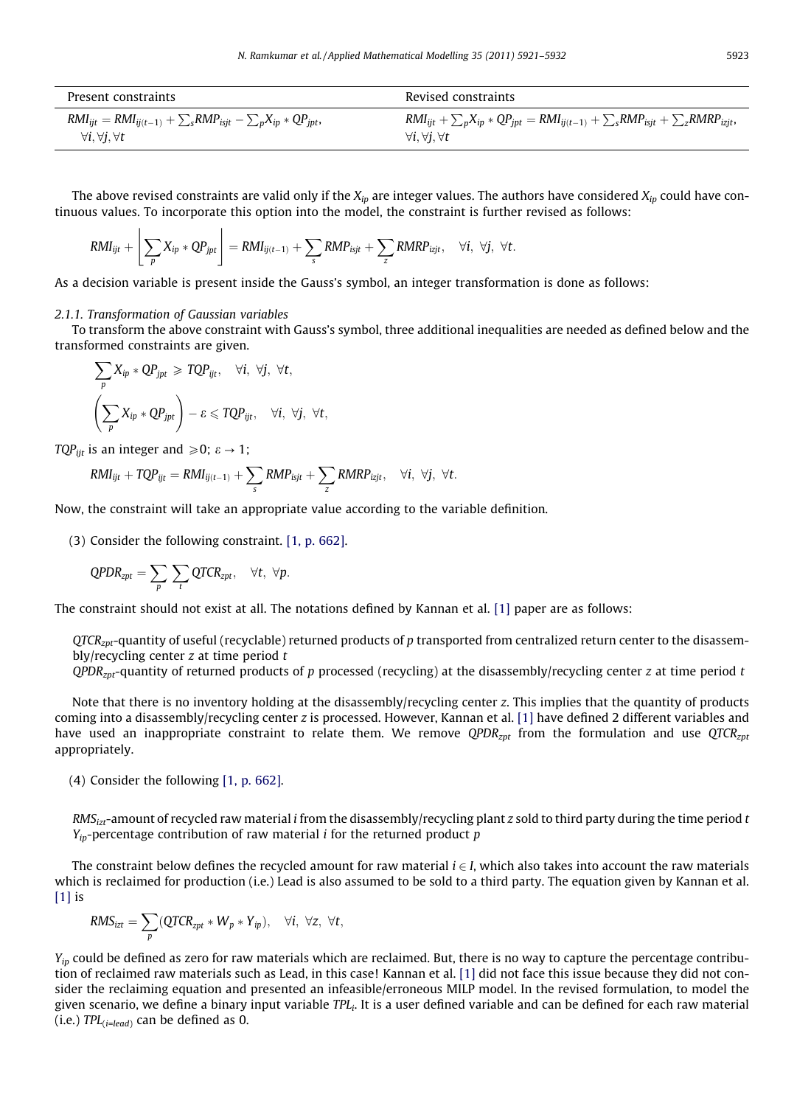| Present constraints                                                            | Revised constraints                                                                                    |
|--------------------------------------------------------------------------------|--------------------------------------------------------------------------------------------------------|
| $RMI_{ijt} = RMI_{ij(t-1)} + \sum_{s} RMP_{isjt} - \sum_{p} X_{ip} * QP_{jpt}$ | $RMI_{ijt} + \sum_{p} X_{ip} * QP_{jpt} = RMI_{ij(t-1)} + \sum_{s} RMP_{isjt} + \sum_{z} RMRP_{izjt},$ |
| $\forall i. \forall j. \forall t$                                              | $\forall i. \forall j. \forall t$                                                                      |

The above revised constraints are valid only if the  $X_{ip}$  are integer values. The authors have considered  $X_{ip}$  could have continuous values. To incorporate this option into the model, the constraint is further revised as follows:

$$
RMI_{ijt} + \left\lfloor \sum_{p} X_{ip} * QP_{jpt} \right\rfloor = RMI_{ij(t-1)} + \sum_{s} RMP_{isjt} + \sum_{z} RMRP_{izjt}, \quad \forall i, \ \forall j, \ \forall t.
$$

As a decision variable is present inside the Gauss's symbol, an integer transformation is done as follows:

#### 2.1.1. Transformation of Gaussian variables

To transform the above constraint with Gauss's symbol, three additional inequalities are needed as defined below and the transformed constraints are given.

$$
\sum_{p} X_{ip} * QP_{jpt} \geq TQP_{ijt}, \quad \forall i, \forall j, \forall t,
$$
  

$$
\left(\sum_{p} X_{ip} * QP_{jpt}\right) - \varepsilon \leq TQP_{ijt}, \quad \forall i, \forall j, \forall t,
$$

TQP<sub>iit</sub> is an integer and  $\geq 0$ ;  $\varepsilon \to 1$ ;

$$
\text{RMI}_{ijt} + \text{TQP}_{ijt} = \text{RMI}_{ij(t-1)} + \sum_{s} \text{RMP}_{isjt} + \sum_{z} \text{RMRP}_{izjt}, \quad \forall i, \ \forall j, \ \forall t.
$$

Now, the constraint will take an appropriate value according to the variable definition.

(3) Consider the following constraint. [\[1, p. 662\]](#page-11-0).

$$
QPDR_{zpt} = \sum_{p} \sum_{t} QTCR_{zpt}, \quad \forall t, \ \forall p.
$$

The constraint should not exist at all. The notations defined by Kannan et al. [\[1\]](#page-11-0) paper are as follows:

 $QTCR<sub>znt</sub>$ -quantity of useful (recyclable) returned products of p transported from centralized return center to the disassembly/recycling center  $z$  at time period  $t$ 

 $OPDR<sub>znt</sub>$ -quantity of returned products of p processed (recycling) at the disassembly/recycling center z at time period t

Note that there is no inventory holding at the disassembly/recycling center z. This implies that the quantity of products coming into a disassembly/recycling center z is processed. However, Kannan et al. [\[1\]](#page-11-0) have defined 2 different variables and have used an inappropriate constraint to relate them. We remove  $QPDR<sub>zpt</sub>$  from the formulation and use  $QTCR<sub>zpt</sub>$ appropriately.

(4) Consider the following [\[1, p. 662\].](#page-11-0)

 $RMS<sub>izt</sub>$ -amount of recycled raw material i from the disassembly/recycling plant z sold to third party during the time period t  $Y_{ip}$ -percentage contribution of raw material *i* for the returned product *p* 

The constraint below defines the recycled amount for raw material  $i \in I$ , which also takes into account the raw materials which is reclaimed for production (i.e.) Lead is also assumed to be sold to a third party. The equation given by Kannan et al. [\[1\]](#page-11-0) is

$$
RMS_{izt} = \sum_{p} (QTCR_{zpt} * W_p * Y_{ip}), \quad \forall i, \forall z, \forall t,
$$

 $Y_{in}$  could be defined as zero for raw materials which are reclaimed. But, there is no way to capture the percentage contribu-tion of reclaimed raw materials such as Lead, in this case! Kannan et al. [\[1\]](#page-11-0) did not face this issue because they did not consider the reclaiming equation and presented an infeasible/erroneous MILP model. In the revised formulation, to model the given scenario, we define a binary input variable  $TPL_i$ . It is a user defined variable and can be defined for each raw material (i.e.)  $TPL$ <sub>(i=lead)</sub> can be defined as 0.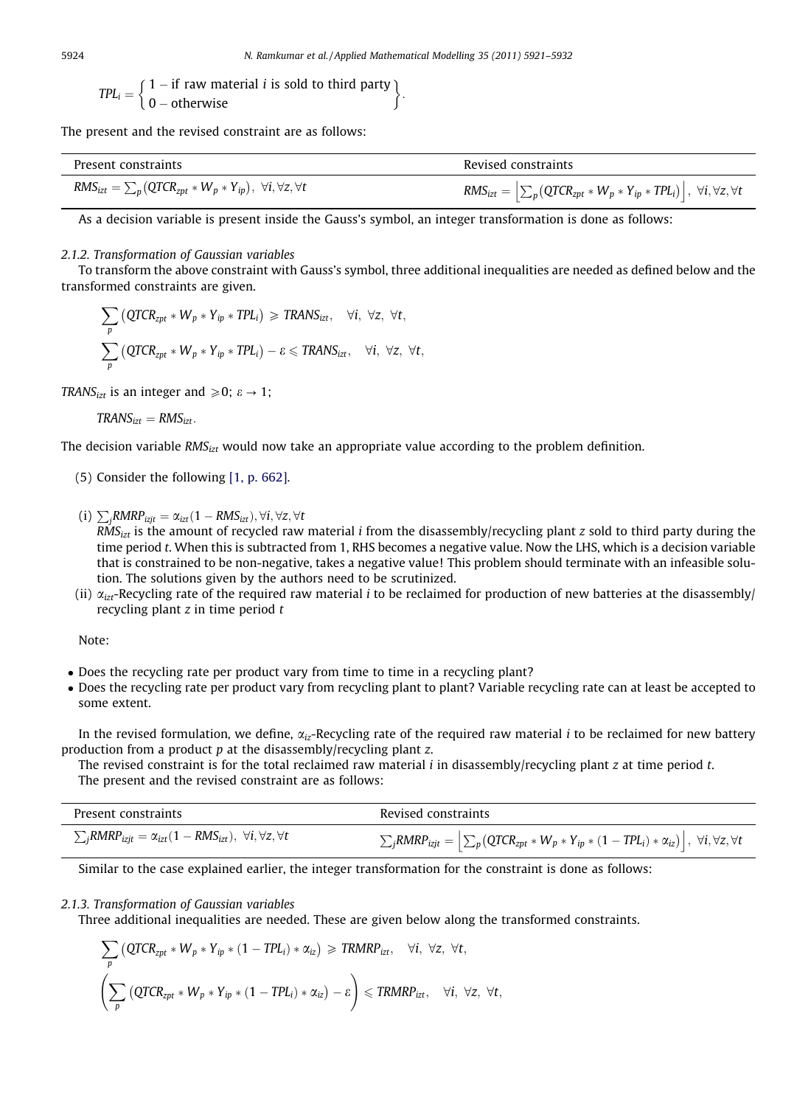$$
TPL_i = \begin{cases} 1 - if raw material i is sold to third party \\ 0 - otherwise \end{cases}.
$$

The present and the revised constraint are as follows:

| Present constraints                                                                   | Revised constraints                                                                                                                                      |
|---------------------------------------------------------------------------------------|----------------------------------------------------------------------------------------------------------------------------------------------------------|
| $RMS_{izt} = \sum_{p} (QTCR_{zpt} * W_p * Y_{ip}), \ \forall i, \forall z, \forall t$ | $\textit{RMS}_{izt} = \left  \sum_{p} \left( \textit{QTCR}_{zpt} * W_{p} * Y_{ip} * \textit{TPL}_{i} \right) \right , \ \forall i, \forall z, \forall t$ |

As a decision variable is present inside the Gauss's symbol, an integer transformation is done as follows:

## 2.1.2. Transformation of Gaussian variables

To transform the above constraint with Gauss's symbol, three additional inequalities are needed as defined below and the transformed constraints are given.

$$
\sum_{p} (QTCR_{zpt} * W_p * Y_{ip} * TPL_i) \geq TRANS_{izt}, \quad \forall i, \forall z, \forall t,
$$
  

$$
\sum_{p} (QTCR_{zpt} * W_p * Y_{ip} * TPL_i) - \varepsilon \leq TRANS_{izt}, \quad \forall i, \forall z, \forall t,
$$

TRANS<sub>izt</sub> is an integer and  $\geq 0$ ;  $\varepsilon \to 1$ ;

 $TRANS<sub>izt</sub> = RMS<sub>izt</sub>$ .

The decision variable RMS $_{izt}$  would now take an appropriate value according to the problem definition.

- (5) Consider the following [\[1, p. 662\].](#page-11-0)
- (i)  $\sum_{j} RMRP_{izjt} = \alpha_{izt} (1 RMS_{izt}), \forall i, \forall z, \forall t$

 $RMS<sub>irt</sub>$  is the amount of recycled raw material *i* from the disassembly/recycling plant z sold to third party during the time period t. When this is subtracted from 1, RHS becomes a negative value. Now the LHS, which is a decision variable that is constrained to be non-negative, takes a negative value! This problem should terminate with an infeasible solution. The solutions given by the authors need to be scrutinized.

(ii)  $\alpha_{\text{izt}}$ -Recycling rate of the required raw material *i* to be reclaimed for production of new batteries at the disassembly/ recycling plant  $z$  in time period  $t$ 

Note:

- Does the recycling rate per product vary from time to time in a recycling plant?
- Does the recycling rate per product vary from recycling plant to plant? Variable recycling rate can at least be accepted to some extent.

In the revised formulation, we define,  $\alpha_{iz}$ -Recycling rate of the required raw material *i* to be reclaimed for new battery production from a product  $p$  at the disassembly/recycling plant  $z$ .

The revised constraint is for the total reclaimed raw material  $i$  in disassembly/recycling plant  $z$  at time period  $t$ . The present and the revised constraint are as follows:

| Present constraints                                                                                           | Revised constraints                                                                                                                                                                                                  |
|---------------------------------------------------------------------------------------------------------------|----------------------------------------------------------------------------------------------------------------------------------------------------------------------------------------------------------------------|
| $\sum_{i}$ RMRP <sub>izjt</sub> = $\alpha_{izt}$ (1 – RMS <sub>izt</sub> ), $\forall i, \forall z, \forall t$ | $\sum_{j} \text{\textit{RMRP}}_{\textit{izjt}} = \Big  \sum_{p} \big(\text{\textit{QTCR}}_{\textit{zpt}} * W_p * Y_{ip} * (1 - \text{\textit{TPL}}_i) * \alpha_{iz} \big) \Big , \; \forall i, \forall z, \forall t$ |

Similar to the case explained earlier, the integer transformation for the constraint is done as follows:

#### 2.1.3. Transformation of Gaussian variables

Three additional inequalities are needed. These are given below along the transformed constraints.

$$
\sum_{p} \left( \text{QTCR}_{zpt} * W_p * Y_{ip} * (1 - TPL_i) * \alpha_{iz} \right) \geq \text{TRMRP}_{izt}, \quad \forall i, \forall z, \forall t,
$$
\n
$$
\left( \sum_{p} \left( \text{QTCR}_{zpt} * W_p * Y_{ip} * (1 - TPL_i) * \alpha_{iz} \right) - \varepsilon \right) \leq \text{TRMRP}_{izt}, \quad \forall i, \forall z, \forall t,
$$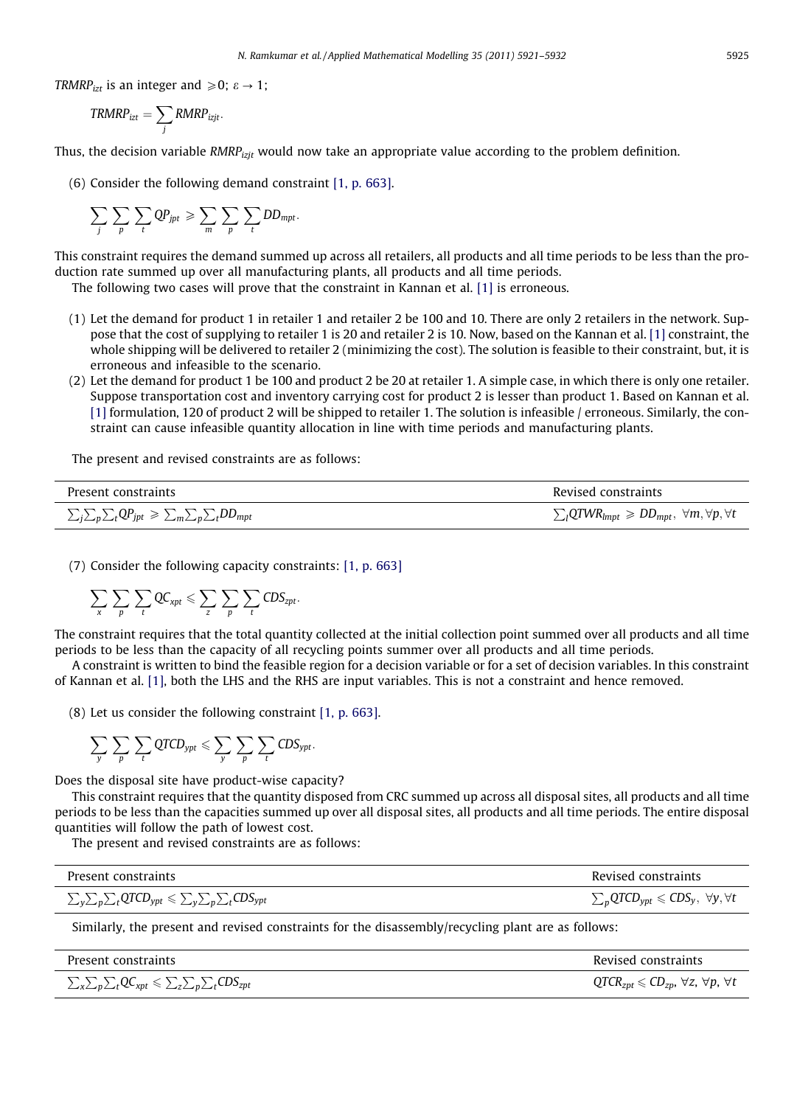TRMRP<sub>izt</sub> is an integer and  $\geq 0$ ;  $\varepsilon \to 1$ ;

$$
TRMRP_{izt} = \sum_j RMRP_{izjt}.
$$

Thus, the decision variable  $RMRP_{izit}$  would now take an appropriate value according to the problem definition.

(6) Consider the following demand constraint [\[1, p. 663\].](#page-11-0)

$$
\sum_{j}\sum_{p}\sum_{t}QP_{jpt}\geqslant \sum_{m}\sum_{p}\sum_{t}DD_{mpt}.
$$

This constraint requires the demand summed up across all retailers, all products and all time periods to be less than the production rate summed up over all manufacturing plants, all products and all time periods.

The following two cases will prove that the constraint in Kannan et al. [\[1\]](#page-11-0) is erroneous.

- (1) Let the demand for product 1 in retailer 1 and retailer 2 be 100 and 10. There are only 2 retailers in the network. Suppose that the cost of supplying to retailer 1 is 20 and retailer 2 is 10. Now, based on the Kannan et al. [\[1\]](#page-11-0) constraint, the whole shipping will be delivered to retailer 2 (minimizing the cost). The solution is feasible to their constraint, but, it is erroneous and infeasible to the scenario.
- (2) Let the demand for product 1 be 100 and product 2 be 20 at retailer 1. A simple case, in which there is only one retailer. Suppose transportation cost and inventory carrying cost for product 2 is lesser than product 1. Based on Kannan et al. [\[1\]](#page-11-0) formulation, 120 of product 2 will be shipped to retailer 1. The solution is infeasible / erroneous. Similarly, the constraint can cause infeasible quantity allocation in line with time periods and manufacturing plants.

The present and revised constraints are as follows:

| Present constraints                                                                                                                                            | Revised constraints                                                      |
|----------------------------------------------------------------------------------------------------------------------------------------------------------------|--------------------------------------------------------------------------|
| $\sum_{\mathbf{j}}\sum_{\mathbf{p}}\sum_{\mathbf{t}}\mathbf{Q}P_{\mathbf{jpt}} \geqslant \sum_{\mathbf{m}}\sum_{\mathbf{p}}\sum_{\mathbf{t}}DD_{\mathbf{mpt}}$ | $\sum_l QTWR_{lmpt} \geqslant DD_{mpt}, \forall m, \forall p, \forall t$ |

(7) Consider the following capacity constraints: [\[1, p. 663\]](#page-11-0)

$$
\sum_x \sum_p \sum_t Q C_{xpt} \leqslant \sum_z \sum_p \sum_t C D S_{zpt}.
$$

The constraint requires that the total quantity collected at the initial collection point summed over all products and all time periods to be less than the capacity of all recycling points summer over all products and all time periods.

A constraint is written to bind the feasible region for a decision variable or for a set of decision variables. In this constraint of Kannan et al. [\[1\]](#page-11-0), both the LHS and the RHS are input variables. This is not a constraint and hence removed.

(8) Let us consider the following constraint [\[1, p. 663\].](#page-11-0)

$$
\sum_y\,\sum_p\,\sum_t\text{QTCD}_{ypt}\leqslant\sum_y\,\sum_p\,\sum_t\text{CDS}_{ypt}.
$$

Does the disposal site have product-wise capacity?

This constraint requires that the quantity disposed from CRC summed up across all disposal sites, all products and all time periods to be less than the capacities summed up over all disposal sites, all products and all time periods. The entire disposal quantities will follow the path of lowest cost.

The present and revised constraints are as follows:

| Present constraints                                                                    | Revised constraints                                                                    |
|----------------------------------------------------------------------------------------|----------------------------------------------------------------------------------------|
| $\sum_{y} \sum_{p} \sum_{t} QTCD_{ypt} \leqslant \sum_{y} \sum_{p} \sum_{t} CDS_{ypt}$ | $\sum_{p}$ QTCD <sub>ypt</sub> $\leqslant$ CDS <sub>y</sub> , $\forall$ y, $\forall$ t |

Similarly, the present and revised constraints for the disassembly/recycling plant are as follows:

| Present constraints                                                                                                                                      | Revised constraints                                          |
|----------------------------------------------------------------------------------------------------------------------------------------------------------|--------------------------------------------------------------|
| $\sum_{\mathsf{x}}\sum_{\mathsf{p}}\sum_{t} \mathrm{QC}_{\mathsf{xpt}} \leqslant \sum_{\mathsf{z}}\sum_{\mathsf{p}}\sum_{t} \mathrm{CDS}_{\mathsf{zpt}}$ | $QTCR_{zpt} \le CD_{zp}$ , $\forall z, \forall p, \forall t$ |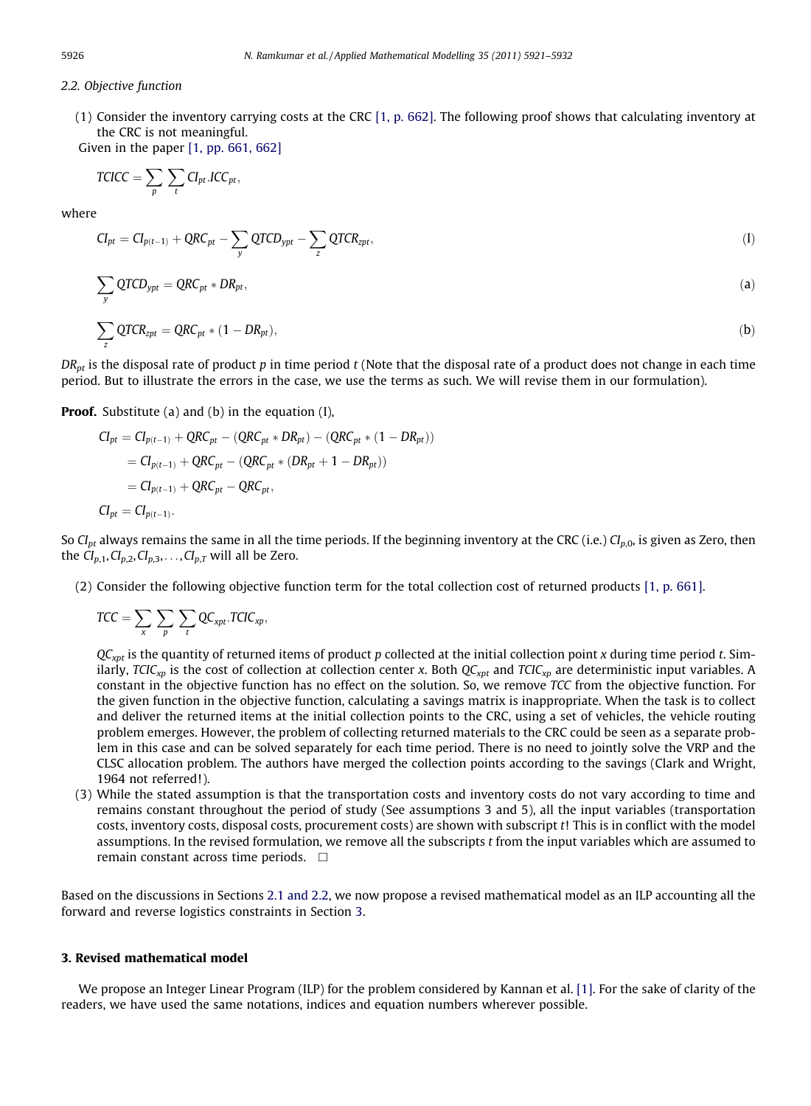## 2.2. Objective function

(1) Consider the inventory carrying costs at the CRC [\[1, p. 662\]](#page-11-0). The following proof shows that calculating inventory at the CRC is not meaningful.

Given in the paper [\[1, pp. 661, 662\]](#page-11-0)

$$
TCICC = \sum_{p} \sum_{t} CI_{pt}.ICC_{pt},
$$

where

$$
CI_{pt} = CI_{p(t-1)} + QRC_{pt} - \sum_{y} QTCD_{ypt} - \sum_{z} QTCR_{zpt},
$$
\n(1)

$$
\sum_{y} QTCD_{ypt} = QRC_{pt} * DR_{pt}, \tag{a}
$$

$$
\sum_{z} QTCR_{zpt} = QRC_{pt} * (1 - DR_{pt}),
$$
 (b)

 $DR_{pt}$  is the disposal rate of product p in time period t (Note that the disposal rate of a product does not change in each time period. But to illustrate the errors in the case, we use the terms as such. We will revise them in our formulation).

**Proof.** Substitute (a) and (b) in the equation (I),

$$
CI_{pt} = CI_{p(t-1)} + QRC_{pt} - (QRC_{pt} * DR_{pt}) - (QRC_{pt} * (1 - DR_{pt}))
$$
  
=  $CI_{p(t-1)} + QRC_{pt} - (QRC_{pt} * (DR_{pt} + 1 - DR_{pt}))$   
=  $CI_{p(t-1)} + QRC_{pt} - QRC_{pt},$   
 $CI_{pt} = CI_{p(t-1)}.$ 

So CI<sub>pt</sub> always remains the same in all the time periods. If the beginning inventory at the CRC (i.e.) CI<sub>p,0</sub>, is given as Zero, then the  $Cl_{p,1}, Cl_{p,2}, Cl_{p,3}, \ldots, Cl_{p,T}$  will all be Zero.

(2) Consider the following objective function term for the total collection cost of returned products [\[1, p. 661\].](#page-11-0)

$$
TCC = \sum_{x} \sum_{p} \sum_{t} QC_{xpt}.TCIC_{xp},
$$

 $QC<sub>xnt</sub>$  is the quantity of returned items of product p collected at the initial collection point x during time period t. Similarly, TCIC<sub>xp</sub> is the cost of collection at collection center x. Both  $QC_{xpt}$  and TCIC<sub>xp</sub> are deterministic input variables. A constant in the objective function has no effect on the solution. So, we remove TCC from the objective function. For the given function in the objective function, calculating a savings matrix is inappropriate. When the task is to collect and deliver the returned items at the initial collection points to the CRC, using a set of vehicles, the vehicle routing problem emerges. However, the problem of collecting returned materials to the CRC could be seen as a separate problem in this case and can be solved separately for each time period. There is no need to jointly solve the VRP and the CLSC allocation problem. The authors have merged the collection points according to the savings (Clark and Wright, 1964 not referred!).

(3) While the stated assumption is that the transportation costs and inventory costs do not vary according to time and remains constant throughout the period of study (See assumptions 3 and 5), all the input variables (transportation costs, inventory costs, disposal costs, procurement costs) are shown with subscript t! This is in conflict with the model assumptions. In the revised formulation, we remove all the subscripts t from the input variables which are assumed to remain constant across time periods.  $\Box$ 

Based on the discussions in Sections 2.1 and 2.2, we now propose a revised mathematical model as an ILP accounting all the forward and reverse logistics constraints in Section 3.

#### 3. Revised mathematical model

We propose an Integer Linear Program (ILP) for the problem considered by Kannan et al. [\[1\].](#page-11-0) For the sake of clarity of the readers, we have used the same notations, indices and equation numbers wherever possible.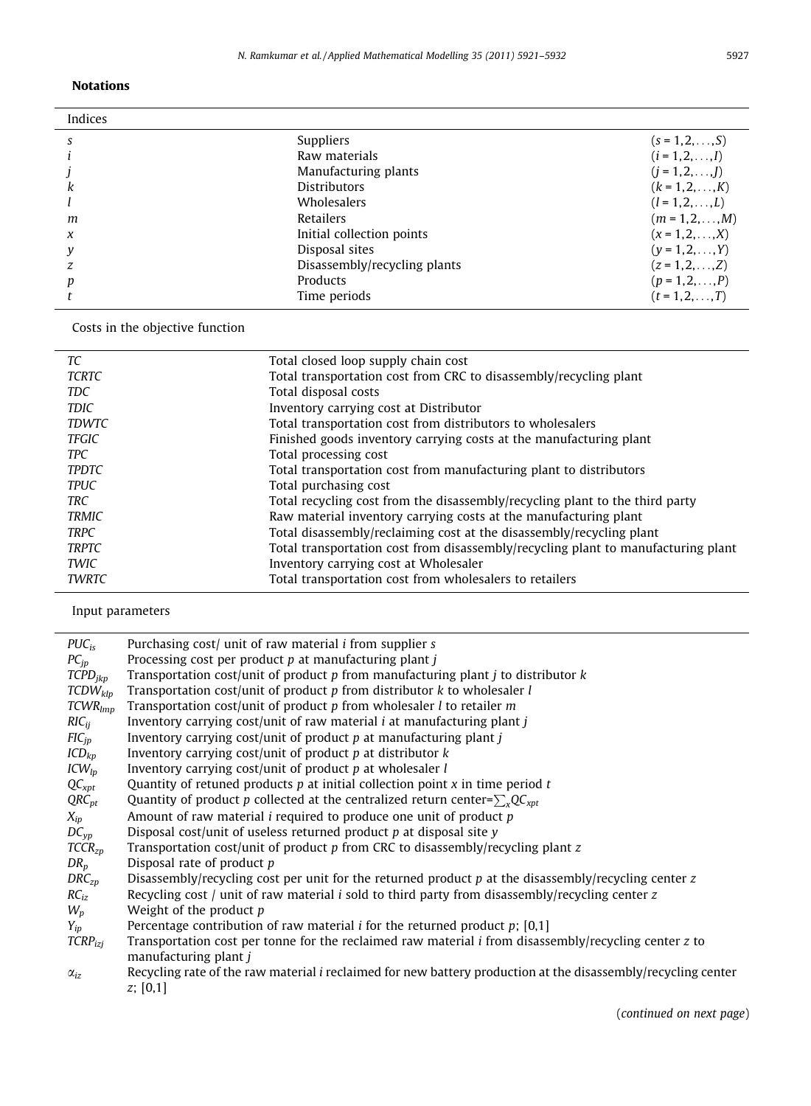## Notations

 $\overline{a}$ 

| Indices |                              |                         |
|---------|------------------------------|-------------------------|
| S       | <b>Suppliers</b>             | $(s = 1, 2, \ldots, S)$ |
|         | Raw materials                | $(i = 1, 2, , I)$       |
|         | Manufacturing plants         | $(i = 1, 2, \ldots, l)$ |
| k       | <b>Distributors</b>          | $(k = 1, 2, , K)$       |
|         | Wholesalers                  | $(l = 1, 2, \ldots, L)$ |
| m       | Retailers                    | $(m = 1, 2, , M)$       |
| $\chi$  | Initial collection points    | $(x = 1, 2, , X)$       |
| y       | Disposal sites               | $(y = 1, 2, , Y)$       |
|         | Disassembly/recycling plants | $(z = 1, 2, \ldots, Z)$ |
| p       | Products                     | $(p = 1, 2, , P)$       |
|         | Time periods                 | $(t = 1, 2, , T)$       |

Costs in the objective function

| ТC           | Total closed loop supply chain cost                                               |
|--------------|-----------------------------------------------------------------------------------|
| <b>TCRTC</b> | Total transportation cost from CRC to disassembly/recycling plant                 |
| <b>TDC</b>   | Total disposal costs                                                              |
| <b>TDIC</b>  | Inventory carrying cost at Distributor                                            |
| <b>TDWTC</b> | Total transportation cost from distributors to wholesalers                        |
| <b>TFGIC</b> | Finished goods inventory carrying costs at the manufacturing plant                |
| <b>TPC</b>   | Total processing cost                                                             |
| <b>TPDTC</b> | Total transportation cost from manufacturing plant to distributors                |
| <b>TPUC</b>  | Total purchasing cost                                                             |
| <b>TRC</b>   | Total recycling cost from the disassembly/recycling plant to the third party      |
| <b>TRMIC</b> | Raw material inventory carrying costs at the manufacturing plant                  |
| <b>TRPC</b>  | Total disassembly/reclaiming cost at the disassembly/recycling plant              |
| <b>TRPTC</b> | Total transportation cost from disassembly/recycling plant to manufacturing plant |
| TWIC         | Inventory carrying cost at Wholesaler                                             |
| <b>TWRTC</b> | Total transportation cost from wholesalers to retailers                           |
|              |                                                                                   |

Input parameters

| $PUC_{iS}$            | Purchasing cost/ unit of raw material <i>i</i> from supplier <i>s</i>                                                                        |
|-----------------------|----------------------------------------------------------------------------------------------------------------------------------------------|
| $PC_{in}$             | Processing cost per product p at manufacturing plant j                                                                                       |
| $\textit{TCPD}_{ikp}$ | Transportation cost/unit of product $p$ from manufacturing plant $j$ to distributor $k$                                                      |
| $TCDW_{klp}$          | Transportation cost/unit of product $p$ from distributor $k$ to wholesaler $l$                                                               |
| $TCWR_{lmn}$          | Transportation cost/unit of product $p$ from wholesaler $l$ to retailer $m$                                                                  |
| $RIC_{ii}$            | Inventory carrying cost/unit of raw material <i>i</i> at manufacturing plant <i>j</i>                                                        |
| $FIC_{ip}$            | Inventory carrying cost/unit of product $p$ at manufacturing plant $j$                                                                       |
| $ICD_{kp}$            | Inventory carrying cost/unit of product $p$ at distributor $k$                                                                               |
| $ICW_{lp}$            | Inventory carrying cost/unit of product $p$ at wholesaler $l$                                                                                |
| $QC_{xpt}$            | Quantity of retuned products $p$ at initial collection point $x$ in time period $t$                                                          |
| $QRC_{pt}$            | Quantity of product p collected at the centralized return center= $\sum_{x}QC_{xpt}$                                                         |
| $X_{ip}$              | Amount of raw material $i$ required to produce one unit of product $p$                                                                       |
| $DC_{vp}$             | Disposal cost/unit of useless returned product $p$ at disposal site $y$                                                                      |
| $TCCR_{zp}$           | Transportation cost/unit of product p from CRC to disassembly/recycling plant z                                                              |
| $DR_p$                | Disposal rate of product p                                                                                                                   |
| $DRC_{zp}$            | Disassembly/recycling cost per unit for the returned product $p$ at the disassembly/recycling center $z$                                     |
| $RC_{iz}$             | Recycling cost / unit of raw material i sold to third party from disassembly/recycling center z                                              |
| $W_p$                 | Weight of the product p                                                                                                                      |
| $Y_{ip}$              | Percentage contribution of raw material <i>i</i> for the returned product $p$ ; [0,1]                                                        |
| $TCRP_{izj}$          | Transportation cost per tonne for the reclaimed raw material <i>i</i> from disassembly/recycling center <i>z</i> to<br>manufacturing plant j |
| $\alpha_{i}$          | Recycling rate of the raw material <i>i</i> reclaimed for new battery production at the disassembly/recycling center<br>z; [0,1]             |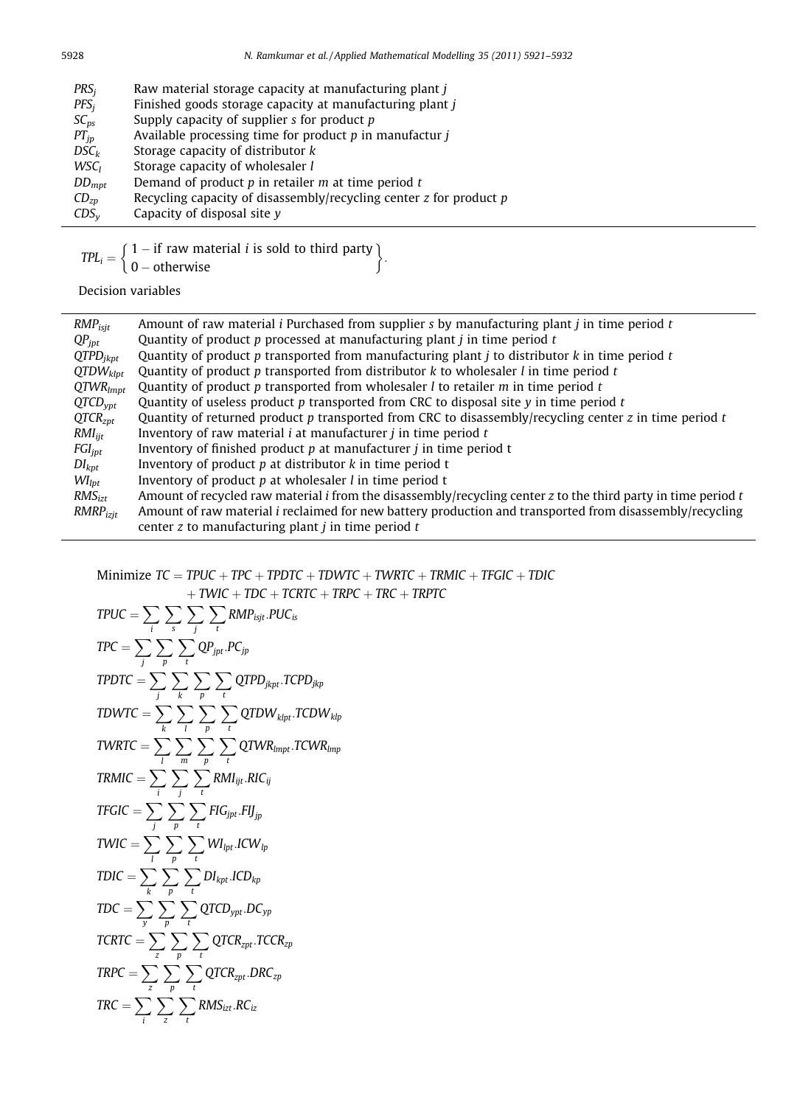| PRS <sub>i</sub> | Raw material storage capacity at manufacturing plant <i>i</i>          |
|------------------|------------------------------------------------------------------------|
| $PFS_i$          | Finished goods storage capacity at manufacturing plant j               |
| $SC_{DS}$        | Supply capacity of supplier $s$ for product $p$                        |
| $PT_{ip}$        | Available processing time for product $p$ in manufactur $i$            |
| $DSC_k$          | Storage capacity of distributor k                                      |
| WSC <sub>I</sub> | Storage capacity of wholesaler l                                       |
| $DD_{mpt}$       | Demand of product $p$ in retailer $m$ at time period $t$               |
| $CD_{zp}$        | Recycling capacity of disassembly/recycling center $z$ for product $p$ |
| $CDS_v$          | Capacity of disposal site $\nu$                                        |

 $TPL_i = \left\{ \begin{array}{ll} 1 - if \; \text{raw material } i \; \text{is sold to third party} \\ 0 & \text{otherwise.} \end{array} \right.$  $\left\{\n \begin{array}{l}\n 1 - \text{if raw material } i \text{ is sold to third party} \\
0 - \text{otherwise}\n \end{array}\n\right\}$ 

Decision variables

| $RMP_{isjt}$                 | Amount of raw material <i>i</i> Purchased from supplier s by manufacturing plant <i>j</i> in time period $t$         |
|------------------------------|----------------------------------------------------------------------------------------------------------------------|
| $QP_{\text{ipt}}$            | Quantity of product p processed at manufacturing plant $i$ in time period $t$                                        |
| $QTPD_{ikpt}$                | Quantity of product $p$ transported from manufacturing plant $j$ to distributor $k$ in time period $t$               |
| $QTDW_{klpt}$                | Quantity of product p transported from distributor $k$ to wholesaler $l$ in time period $t$                          |
| $QTWR_{lmpt}$                | Quantity of product $p$ transported from wholesaler $l$ to retailer $m$ in time period $t$                           |
| $QTCD_{vpt}$                 | Quantity of useless product $p$ transported from CRC to disposal site $y$ in time period $t$                         |
| QTCR <sub>znt</sub>          | Quantity of returned product $p$ transported from CRC to disassembly/recycling center $z$ in time period $t$         |
| $RMI_{ijt}$                  | Inventory of raw material $i$ at manufacturer $j$ in time period $t$                                                 |
| $FGI_{jpt}$                  | Inventory of finished product $p$ at manufacturer $j$ in time period t                                               |
| $DI_{kpt}$                   | Inventory of product $p$ at distributor $k$ in time period t                                                         |
| $W\mathbf{I}_{\mathit{lot}}$ | Inventory of product $p$ at wholesaler $l$ in time period $t$                                                        |
| RMS <sub>izt</sub>           | Amount of recycled raw material <i>i</i> from the disassembly/recycling center z to the third party in time period t |
| $RMRP_{izit}$                | Amount of raw material <i>i</i> reclaimed for new battery production and transported from disassembly/recycling      |
|                              | center z to manufacturing plant $j$ in time period $t$                                                               |

:

Minimize  $TC = TPUC + TPC + TPDTC + TDWTC + TWRTC + TRMIC + TFGIC + TDIC$ 

$$
+ \text{TWIC} + \text{TDC} + \text{TCRTC} + \text{TRPC} + \text{TRC} + \text{TRPTC}
$$

$$
TPUC = \sum_{i} \sum_{s} \sum_{j} \sum_{t} RMP_{ijt}.PUC_{is}
$$
\n
$$
TPC = \sum_{j} \sum_{p} \sum_{t} \sum_{p} QP_{jpt}.PC_{jp}
$$
\n
$$
TPDTC = \sum_{j} \sum_{k} \sum_{p} \sum_{t} QTPD_{jkpt}.TCPD_{jkp}
$$
\n
$$
TDWTC = \sum_{k} \sum_{l} \sum_{p} \sum_{t} QTDW_{kpt}.TCPD_{jkp}
$$
\n
$$
TWRTC = \sum_{l} \sum_{m} \sum_{p} \sum_{t} QTDW_{kmpt}.TCPW_{knp}
$$
\n
$$
TRMIC = \sum_{i} \sum_{j} \sum_{t} \sum_{t} RMI_{ijt}.RIC_{ij}
$$
\n
$$
TFGIC = \sum_{j} \sum_{p} \sum_{t} FIG_{jpt}.FI_{jp}
$$
\n
$$
TWIC = \sum_{k} \sum_{p} \sum_{t} \sum_{t} MI_{ipt}.ICW_{lp}
$$
\n
$$
TDIC = \sum_{k} \sum_{p} \sum_{t} \sum_{t} QTCD_{ypt}.DC_{yp}
$$
\n
$$
TDC = \sum_{k} \sum_{p} \sum_{t} \sum_{t} QTCR_{zpt}.TCR_{zp}
$$
\n
$$
TRPC = \sum_{i} \sum_{p} \sum_{t} \sum_{t} QTCR_{zpt}.DC_{iz}
$$
\n
$$
TRC = \sum_{i} \sum_{p} \sum_{t} \sum_{t} RMS_{izt}.RC_{iz}
$$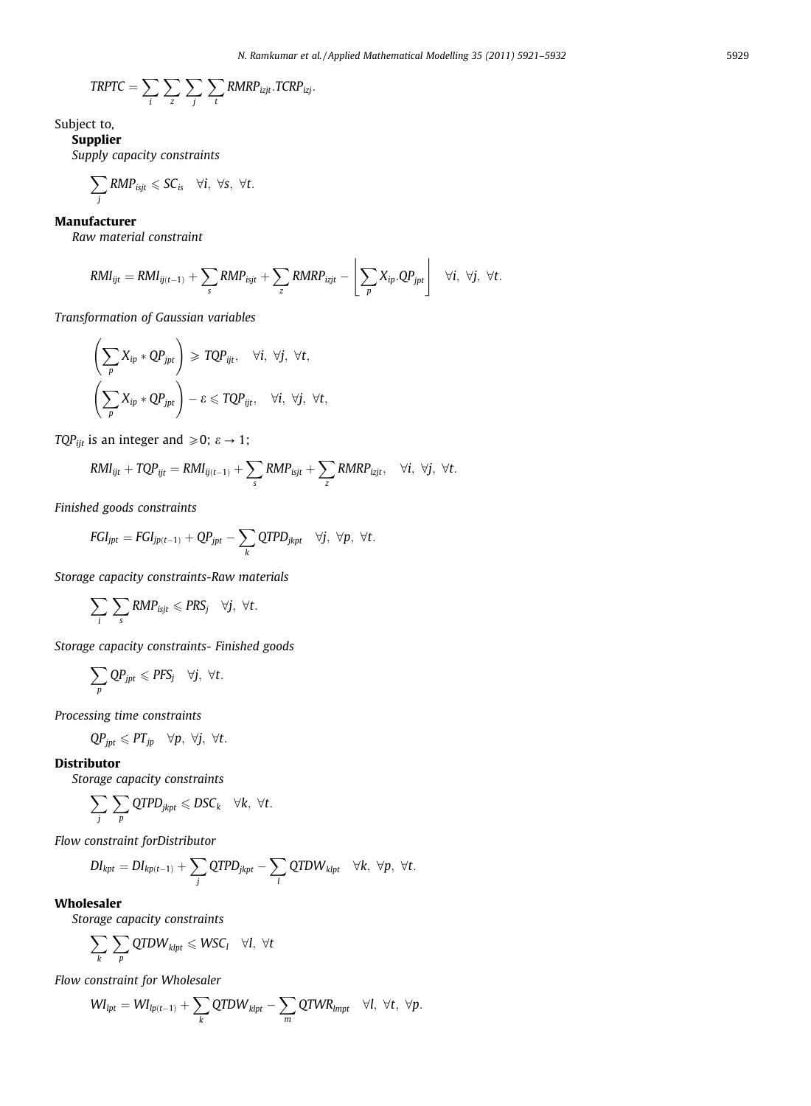$$
TRPTC = \sum_{i} \sum_{z} \sum_{j} \sum_{t} RMRP_{izjt}.TCRP_{izj}.
$$

Subject to,

## Supplier

Supply capacity constraints

$$
\sum_{j} \text{RMP}_{isjt} \leqslant SC_{is} \quad \forall i, \ \forall s, \ \forall t.
$$

## Manufacturer

Raw material constraint

$$
\textit{RMI}_{ijt} = \textit{RMI}_{ij(t-1)} + \sum_{s} \textit{RMP}_{isjt} + \sum_{z} \textit{RMRP}_{izjt} - \left\lfloor \sum_{p} X_{ip}.QP_{jpt} \right\rfloor \quad \forall i, \ \forall j, \ \forall t.
$$

Transformation of Gaussian variables

$$
\left(\sum_{p} X_{ip} * QP_{jpt}\right) \geq TQP_{ijt}, \quad \forall i, \forall j, \forall t,
$$
\n
$$
\left(\sum_{p} X_{ip} * QP_{jpt}\right) - \varepsilon \leq TQP_{ijt}, \quad \forall i, \forall j, \forall t,
$$

TQP<sub>ijt</sub> is an integer and  $\geq 0$ ;  $\varepsilon \to 1$ ;

$$
\text{RMI}_{ijt} + \text{TQP}_{ijt} = \text{RMI}_{ij(t-1)} + \sum_{s} \text{RMP}_{isjt} + \sum_{z} \text{RMRP}_{izjt}, \quad \forall i, \ \forall j, \ \forall t.
$$

Finished goods constraints

$$
\textit{FGI}_{\textit{jpt}} = \textit{FGI}_{\textit{jp}(t-1)} + QP_{\textit{jpt}} - \sum_{k} QTPD_{\textit{jkpt}} \quad \forall j, \ \forall p, \ \forall t.
$$

Storage capacity constraints-Raw materials

$$
\sum_i \sum_s \text{RMP}_{isjt} \leqslant \text{PRS}_j \quad \forall j, \ \forall t.
$$

Storage capacity constraints- Finished goods

$$
\sum_{p}QP_{jpt}\leqslant PFS_j\quad \forall j,\,\, \forall t.
$$

Processing time constraints

$$
QP_{jpt} \leqslant PT_{jp} \quad \forall p, \ \forall j, \ \forall t.
$$

#### Distributor

Storage capacity constraints

$$
\sum_j \sum_p \text{QTPD}_{jkpt} \leqslant DSC_k \quad \forall k, \ \forall t.
$$

Flow constraint forDistributor

$$
DI_{kpt} = DI_{kp(t-1)} + \sum_j QTPD_{jkpt} - \sum_l QTDW_{klpt} \quad \forall k, \ \forall p, \ \forall t.
$$

#### Wholesaler

Storage capacity constraints

$$
\sum_{k} \sum_{p} QTDW_{klpt} \leq WSC_l \quad \forall l, \ \forall t
$$

Flow constraint for Wholesaler

$$
WI_{lpt} = WI_{lp(t-1)} + \sum_{k} QTDW_{klpt} - \sum_{m} QTWR_{lmpt} \quad \forall l, \ \forall t, \ \forall p.
$$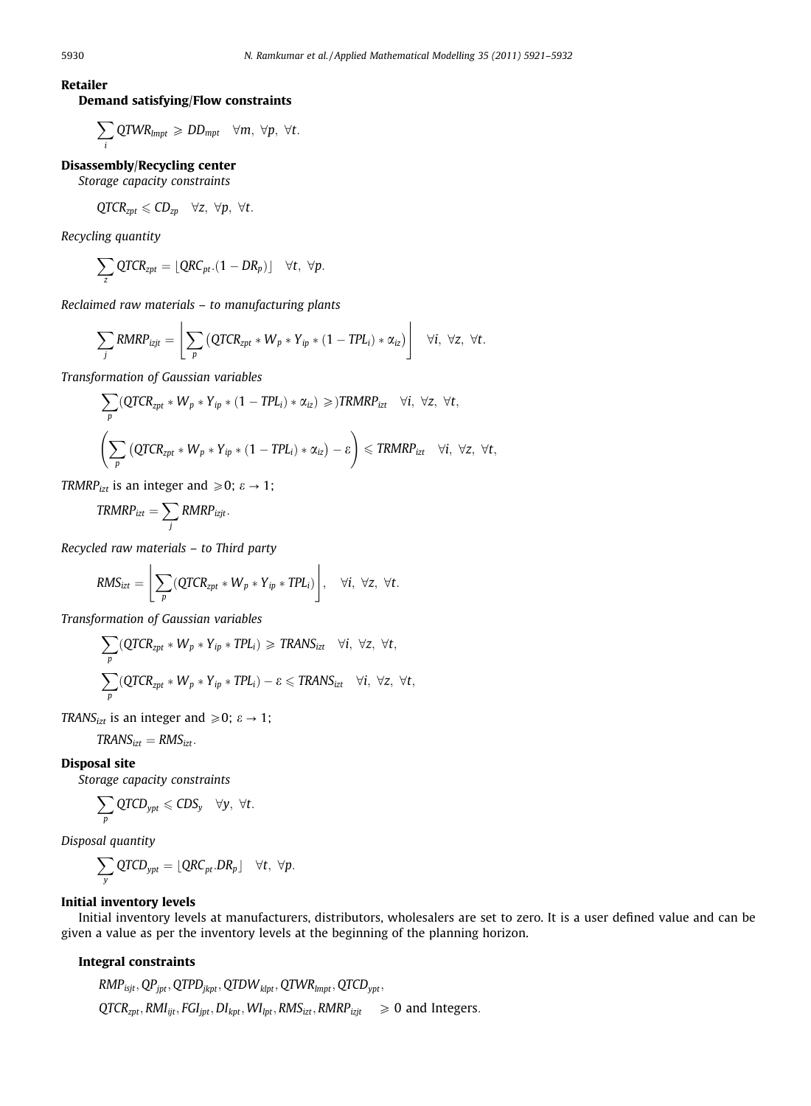Retailer

## Demand satisfying/Flow constraints

$$
\sum_i QTWR_{lmpt} \geqslant DD_{mpt} \quad \forall m, \ \forall p, \ \forall t.
$$

## Disassembly/Recycling center

Storage capacity constraints

$$
QTCR_{zpt} \leqslant CD_{zp} \quad \forall z, \ \forall p, \ \forall t.
$$

Recycling quantity

$$
\sum_{z} \text{QTCR}_{zpt} = \lfloor \text{QRC}_{pt}.(1-DR_p)\rfloor \quad \forall t, \ \forall p.
$$

Reclaimed raw materials – to manufacturing plants

$$
\sum_j \text{RMRP}_{izjt} = \left[ \sum_p \left( \text{QTCR}_{zpt} * W_p * Y_{ip} * (1 - TPL_i) * \alpha_{iz} \right) \right] \quad \forall i, \ \forall z, \ \forall t.
$$

Transformation of Gaussian variables

$$
\sum_{p} (QTCR_{zpt} * W_p * Y_{ip} * (1 - TPL_i) * \alpha_{iz}) \geqslant )TRMRP_{izt} \quad \forall i, \forall z, \forall t,
$$
\n
$$
\left(\sum_{p} (QTCR_{zpt} * W_p * Y_{ip} * (1 - TPL_i) * \alpha_{iz}) - \varepsilon\right) \leqslant TRMRP_{izt} \quad \forall i, \forall z, \forall t,
$$

TRMRP<sub>izt</sub> is an integer and  $\geq 0$ ;  $\varepsilon \to 1$ ;

$$
TRMRP_{izt} = \sum_{j} RMRP_{izjt}.
$$

Recycled raw materials – to Third party

$$
RMS_{izt} = \left[ \sum_{p} (QTCR_{zpt} * W_p * Y_{ip} * TPL_i) \right], \quad \forall i, \ \forall z, \ \forall t.
$$

Transformation of Gaussian variables

$$
\sum_{p} (QTCR_{zpt} * W_p * Y_{ip} * TPL_i) \geq TRANS_{izt} \quad \forall i, \forall z, \forall t,
$$
  

$$
\sum_{p} (QTCR_{zpt} * W_p * Y_{ip} * TPL_i) - \varepsilon \leq TRANS_{izt} \quad \forall i, \forall z, \forall t,
$$

TRANS<sub>izt</sub> is an integer and  $\geq 0$ ;  $\varepsilon \to 1$ ;

 $TRANS<sub>izt</sub> = RMS<sub>izt</sub>$ .

## Disposal site

Storage capacity constraints

$$
\sum_{p}Q\textit{TCD}_{\textit{ypt}}\leqslant \textit{CDS}_y\quad \forall y,\ \forall t.
$$

Disposal quantity

$$
\sum_{y}QTCD_{ypt}=[QRC_{pt}.DR_{p}]\quad \forall t,\ \forall p.
$$

## Initial inventory levels

Initial inventory levels at manufacturers, distributors, wholesalers are set to zero. It is a user defined value and can be given a value as per the inventory levels at the beginning of the planning horizon.

#### Integral constraints

$$
RMP_{isjt}, QP_{jpt}, QTPD_{jkpt}, QTDW_{klpt}, QTWR_{lmpt}, QTCP_{ypt},
$$
  
\n $QTCR_{zpt}, RMI_{ijt}, FGI_{jpt}, DI_{kpt}, WII_{pt}, RMS_{izt}, RMRP_{izjt} \geq 0$  and Integers.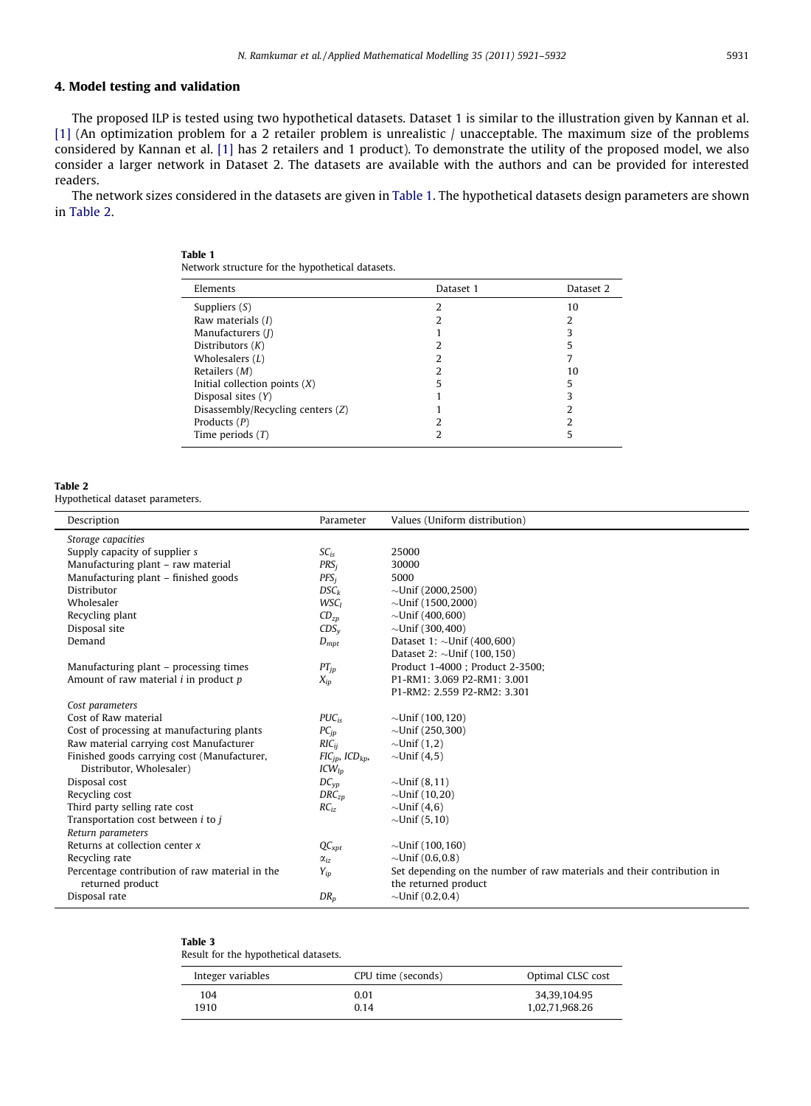## 4. Model testing and validation

The proposed ILP is tested using two hypothetical datasets. Dataset 1 is similar to the illustration given by Kannan et al. [\[1\]](#page-11-0) (An optimization problem for a 2 retailer problem is unrealistic / unacceptable. The maximum size of the problems considered by Kannan et al. [\[1\]](#page-11-0) has 2 retailers and 1 product). To demonstrate the utility of the proposed model, we also consider a larger network in Dataset 2. The datasets are available with the authors and can be provided for interested readers.

The network sizes considered in the datasets are given in Table 1. The hypothetical datasets design parameters are shown in Table 2.

#### Table 1

Network structure for the hypothetical datasets.

| Elements                          | Dataset 1 | Dataset 2 |
|-----------------------------------|-----------|-----------|
| Suppliers $(S)$                   |           | 10        |
| Raw materials $(I)$               |           |           |
| Manufacturers (J)                 |           |           |
| Distributors $(K)$                |           |           |
| Wholesalers $(L)$                 |           |           |
| Retailers $(M)$                   |           | 10        |
| Initial collection points $(X)$   |           | 5         |
| Disposal sites (Y)                |           |           |
| Disassembly/Recycling centers (Z) |           |           |
| Products $(P)$                    |           |           |
| Time periods $(T)$                |           |           |

#### Table 2

 $\overline{a}$ 

Hypothetical dataset parameters.

| Description                                      | Parameter                                   | Values (Uniform distribution)                                          |
|--------------------------------------------------|---------------------------------------------|------------------------------------------------------------------------|
|                                                  |                                             |                                                                        |
| Storage capacities                               |                                             |                                                                        |
| Supply capacity of supplier s                    | $SC_{iS}$                                   | 25000                                                                  |
| Manufacturing plant - raw material               | PRS <sub>i</sub>                            | 30000                                                                  |
| Manufacturing plant - finished goods             | $PFS_i$                                     | 5000                                                                   |
| Distributor                                      | $DSC_k$                                     | $\sim$ Unif (2000,2500)                                                |
| Wholesaler                                       | <b>WSC<sub>I</sub></b>                      | $\sim$ Unif (1500, 2000)                                               |
| Recycling plant                                  | $CD_{zn}$                                   | $\sim$ Unif (400,600)                                                  |
| Disposal site                                    | $CDS_v$                                     | $\sim$ Unif (300,400)                                                  |
| Demand                                           | $D_{\text{mpt}}$                            | Dataset 1: $\sim$ Unif (400,600)                                       |
|                                                  |                                             | Dataset 2: $\sim$ Unif (100, 150)                                      |
| Manufacturing plant – processing times           | $PT_{ip}$                                   | Product 1-4000 ; Product 2-3500;                                       |
| Amount of raw material $i$ in product $p$        | $X_{ip}$                                    | P1-RM1: 3.069 P2-RM1: 3.001                                            |
|                                                  |                                             | P1-RM2: 2.559 P2-RM2: 3.301                                            |
| Cost parameters                                  |                                             |                                                                        |
| Cost of Raw material                             | $PUC_{iS}$                                  | $\sim$ Unif (100,120)                                                  |
| Cost of processing at manufacturing plants       | $PC_{ip}$                                   | $\sim$ Unif (250,300)                                                  |
| Raw material carrying cost Manufacturer          | $RIC_{ii}$                                  | $\sim$ Unif (1,2)                                                      |
| Finished goods carrying cost (Manufacturer,      | $\mathit{FIC}_{ip}$ , $\mathit{ICD}_{kp}$ , | $\sim$ Unif (4,5)                                                      |
| Distributor, Wholesaler)                         | $ICW_{In}$                                  |                                                                        |
| Disposal cost                                    | $DC_{VD}$                                   | $\sim$ Unif (8,11)                                                     |
| Recycling cost                                   | $DRC_{zn}$                                  | $\sim$ Unif (10,20)                                                    |
| Third party selling rate cost                    | $RC_{iz}$                                   | $\sim$ Unif (4,6)                                                      |
| Transportation cost between <i>i</i> to <i>j</i> |                                             | $\sim$ Unif (5,10)                                                     |
| Return parameters                                |                                             |                                                                        |
| Returns at collection center $x$                 | $QC_{xpt}$                                  | $\sim$ Unif (100,160)                                                  |
| Recycling rate                                   | $\alpha_{iz}$                               | $\sim$ Unif (0.6,0.8)                                                  |
| Percentage contribution of raw material in the   | $Y_{ip}$                                    | Set depending on the number of raw materials and their contribution in |
| returned product                                 |                                             | the returned product                                                   |
| Disposal rate                                    | DR <sub>p</sub>                             | $\sim$ Unif (0.2,0.4)                                                  |

Table 3

Result for the hypothetical datasets.

| Integer variables | CPU time (seconds) | Optimal CLSC cost |
|-------------------|--------------------|-------------------|
| 104               | 0.01               | 34.39.104.95      |
| 1910              | 0.14               | 1,02,71,968.26    |